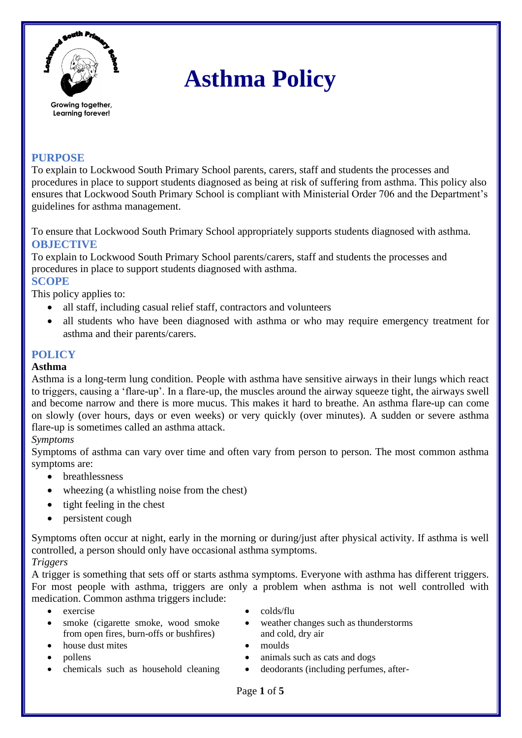

# **Asthma Policy**

## **PURPOSE**

To explain to Lockwood South Primary School parents, carers, staff and students the processes and procedures in place to support students diagnosed as being at risk of suffering from asthma. This policy also ensures that Lockwood South Primary School is compliant with Ministerial Order 706 and the Department's guidelines for asthma management.

To ensure that Lockwood South Primary School appropriately supports students diagnosed with asthma. **OBJECTIVE**

To explain to Lockwood South Primary School parents/carers, staff and students the processes and procedures in place to support students diagnosed with asthma.

## **SCOPE**

This policy applies to:

- all staff, including casual relief staff, contractors and volunteers
- all students who have been diagnosed with asthma or who may require emergency treatment for asthma and their parents/carers.

## **POLICY**

#### **Asthma**

Asthma is a long-term lung condition. People with asthma have sensitive airways in their lungs which react to triggers, causing a 'flare-up'. In a flare-up, the muscles around the airway squeeze tight, the airways swell and become narrow and there is more mucus. This makes it hard to breathe. An asthma flare-up can come on slowly (over hours, days or even weeks) or very quickly (over minutes). A sudden or severe asthma flare-up is sometimes called an asthma attack.

#### *Symptoms*

Symptoms of asthma can vary over time and often vary from person to person. The most common asthma symptoms are:

- breathlessness
- wheezing (a whistling noise from the chest)
- tight feeling in the chest
- persistent cough

Symptoms often occur at night, early in the morning or during/just after physical activity. If asthma is well controlled, a person should only have occasional asthma symptoms.

#### *Triggers*

A trigger is something that sets off or starts asthma symptoms. Everyone with asthma has different triggers. For most people with asthma, triggers are only a problem when asthma is not well controlled with medication. Common asthma triggers include:

- 
- smoke (cigarette smoke, wood smoke from open fires, burn-offs or bushfires)
- house dust mites moulds
- 
- 
- $\bullet$  exercise  $\bullet$  colds/flu
	- weather changes such as thunderstorms and cold, dry air
	-
	- pollens animals such as cats and dogs
	- chemicals such as household cleaning deodorants (including perfumes, after-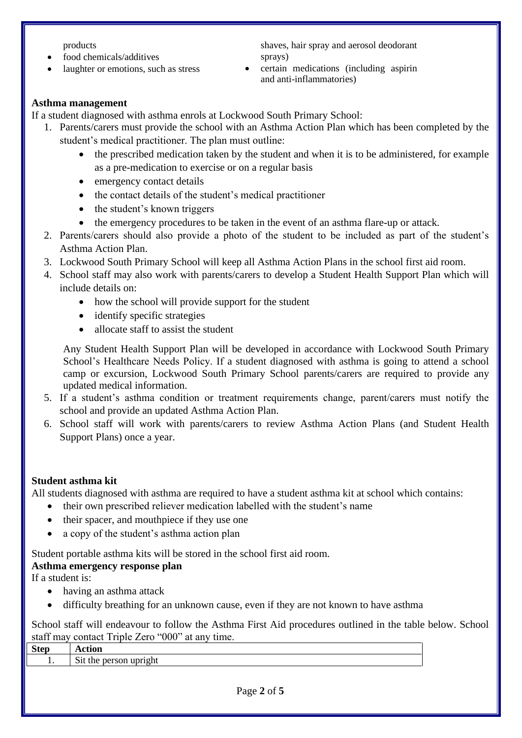products

- food chemicals/additives
- laughter or emotions, such as stress

shaves, hair spray and aerosol deodorant sprays)

• certain medications (including aspirin and anti-inflammatories)

#### **Asthma management**

If a student diagnosed with asthma enrols at Lockwood South Primary School:

- 1. Parents/carers must provide the school with an Asthma Action Plan which has been completed by the student's medical practitioner. The plan must outline:
	- the prescribed medication taken by the student and when it is to be administered, for example as a pre-medication to exercise or on a regular basis
	- emergency contact details
	- the contact details of the student's medical practitioner
	- the student's known triggers
	- the emergency procedures to be taken in the event of an asthma flare-up or attack.
- 2. Parents/carers should also provide a photo of the student to be included as part of the student's Asthma Action Plan.
- 3. Lockwood South Primary School will keep all Asthma Action Plans in the school first aid room.
- 4. School staff may also work with parents/carers to develop a Student Health Support Plan which will include details on:
	- how the school will provide support for the student
	- identify specific strategies
	- allocate staff to assist the student

Any Student Health Support Plan will be developed in accordance with Lockwood South Primary School's Healthcare Needs Policy. If a student diagnosed with asthma is going to attend a school camp or excursion, Lockwood South Primary School parents/carers are required to provide any updated medical information.

- 5. If a student's asthma condition or treatment requirements change, parent/carers must notify the school and provide an updated Asthma Action Plan.
- 6. School staff will work with parents/carers to review Asthma Action Plans (and Student Health Support Plans) once a year.

#### **Student asthma kit**

All students diagnosed with asthma are required to have a student asthma kit at school which contains:

- their own prescribed reliever medication labelled with the student's name
- their spacer, and mouthpiece if they use one
- a copy of the student's asthma action plan

Student portable asthma kits will be stored in the school first aid room.

#### **Asthma emergency response plan**

If a student is:

- having an asthma attack
- difficulty breathing for an unknown cause, even if they are not known to have asthma

School staff will endeavour to follow the Asthma First Aid procedures outlined in the table below. School staff may contact Triple Zero "000" at any time.

| <b>Step</b> | Action                                                        |
|-------------|---------------------------------------------------------------|
| . .         | $\sim$<br>$\cdots$<br>S <sub>1</sub> t the person<br>`uprigni |
|             |                                                               |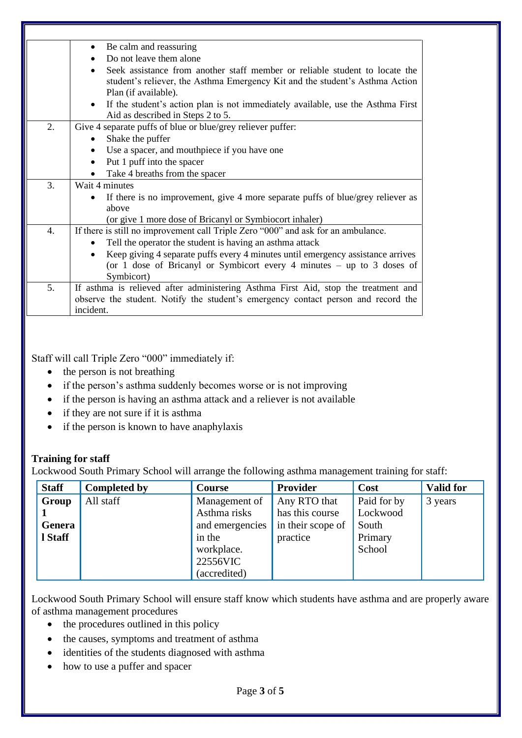|                  | Be calm and reassuring<br>$\bullet$                                                                                                                                                 |  |  |  |  |  |
|------------------|-------------------------------------------------------------------------------------------------------------------------------------------------------------------------------------|--|--|--|--|--|
|                  | Do not leave them alone                                                                                                                                                             |  |  |  |  |  |
|                  | Seek assistance from another staff member or reliable student to locate the<br>student's reliever, the Asthma Emergency Kit and the student's Asthma Action<br>Plan (if available). |  |  |  |  |  |
|                  | If the student's action plan is not immediately available, use the Asthma First<br>$\bullet$<br>Aid as described in Steps 2 to 5.                                                   |  |  |  |  |  |
| 2.               | Give 4 separate puffs of blue or blue/grey reliever puffer:                                                                                                                         |  |  |  |  |  |
|                  | Shake the puffer                                                                                                                                                                    |  |  |  |  |  |
|                  | Use a spacer, and mouthpiece if you have one                                                                                                                                        |  |  |  |  |  |
|                  | Put 1 puff into the spacer                                                                                                                                                          |  |  |  |  |  |
|                  | Take 4 breaths from the spacer                                                                                                                                                      |  |  |  |  |  |
| 3.               | Wait 4 minutes                                                                                                                                                                      |  |  |  |  |  |
|                  | If there is no improvement, give 4 more separate puffs of blue/grey reliever as                                                                                                     |  |  |  |  |  |
|                  | above                                                                                                                                                                               |  |  |  |  |  |
|                  | (or give 1 more dose of Bricanyl or Symbiocort inhaler)                                                                                                                             |  |  |  |  |  |
| $\overline{4}$ . | If there is still no improvement call Triple Zero "000" and ask for an ambulance.                                                                                                   |  |  |  |  |  |
|                  | Tell the operator the student is having an asthma attack                                                                                                                            |  |  |  |  |  |
|                  | Keep giving 4 separate puffs every 4 minutes until emergency assistance arrives<br>(or 1 dose of Bricanyl or Symbicort every 4 minutes $-$ up to 3 doses of                         |  |  |  |  |  |
|                  | Symbicort)                                                                                                                                                                          |  |  |  |  |  |
| 5.               | If asthma is relieved after administering Asthma First Aid, stop the treatment and                                                                                                  |  |  |  |  |  |
|                  | observe the student. Notify the student's emergency contact person and record the                                                                                                   |  |  |  |  |  |
|                  | incident.                                                                                                                                                                           |  |  |  |  |  |
|                  |                                                                                                                                                                                     |  |  |  |  |  |

Staff will call Triple Zero "000" immediately if:

- the person is not breathing
- if the person's asthma suddenly becomes worse or is not improving
- if the person is having an asthma attack and a reliever is not available
- if they are not sure if it is asthma
- if the person is known to have anaphylaxis

#### **Training for staff**

Lockwood South Primary School will arrange the following asthma management training for staff:

| <b>Staff</b>    | <b>Completed by</b> | <b>Course</b>                                    | Provider                                             | Cost                             | <b>Valid for</b> |
|-----------------|---------------------|--------------------------------------------------|------------------------------------------------------|----------------------------------|------------------|
| Group<br>Genera | All staff           | Management of<br>Asthma risks<br>and emergencies | Any RTO that<br>has this course<br>in their scope of | Paid for by<br>Lockwood<br>South | 3 years          |
| l Staff         |                     | in the<br>workplace.<br>22556VIC<br>(accredited) | practice                                             | Primary<br>School                |                  |

Lockwood South Primary School will ensure staff know which students have asthma and are properly aware of asthma management procedures

- the procedures outlined in this policy
- the causes, symptoms and treatment of asthma
- identities of the students diagnosed with asthma
- how to use a puffer and spacer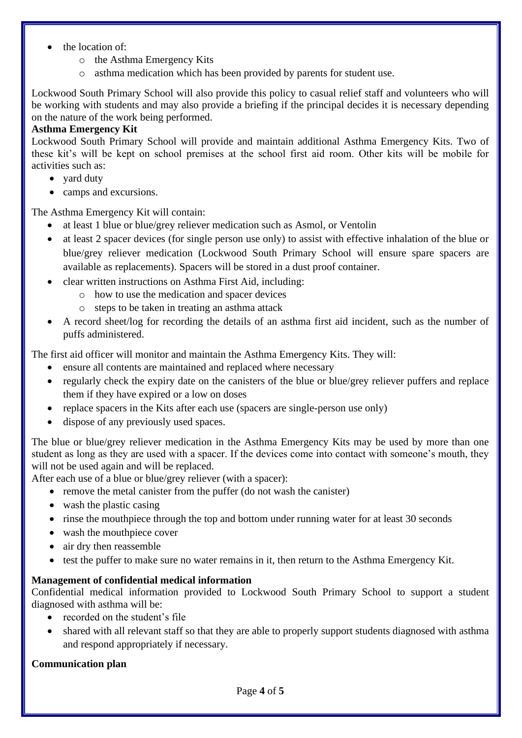- the location of:
	- o the Asthma Emergency Kits
	- o asthma medication which has been provided by parents for student use.

Lockwood South Primary School will also provide this policy to casual relief staff and volunteers who will be working with students and may also provide a briefing if the principal decides it is necessary depending on the nature of the work being performed.

## **Asthma Emergency Kit**

Lockwood South Primary School will provide and maintain additional Asthma Emergency Kits. Two of these kit's will be kept on school premises at the school first aid room. Other kits will be mobile for activities such as:

- vard duty
- camps and excursions.

The Asthma Emergency Kit will contain:

- at least 1 blue or blue/grey reliever medication such as Asmol, or Ventolin
- at least 2 spacer devices (for single person use only) to assist with effective inhalation of the blue or blue/grey reliever medication (Lockwood South Primary School will ensure spare spacers are available as replacements). Spacers will be stored in a dust proof container.
- clear written instructions on Asthma First Aid, including:
	- o how to use the medication and spacer devices
	- o steps to be taken in treating an asthma attack
- A record sheet/log for recording the details of an asthma first aid incident, such as the number of puffs administered.

The first aid officer will monitor and maintain the Asthma Emergency Kits. They will:

- ensure all contents are maintained and replaced where necessary
- regularly check the expiry date on the canisters of the blue or blue/grey reliever puffers and replace them if they have expired or a low on doses
- replace spacers in the Kits after each use (spacers are single-person use only)
- dispose of any previously used spaces.

The blue or blue/grey reliever medication in the Asthma Emergency Kits may be used by more than one student as long as they are used with a spacer. If the devices come into contact with someone's mouth, they will not be used again and will be replaced.

After each use of a blue or blue/grey reliever (with a spacer):

- remove the metal canister from the puffer (do not wash the canister)
- wash the plastic casing
- rinse the mouthpiece through the top and bottom under running water for at least 30 seconds
- wash the mouthpiece cover
- air dry then reassemble
- test the puffer to make sure no water remains in it, then return to the Asthma Emergency Kit.

## **Management of confidential medical information**

Confidential medical information provided to Lockwood South Primary School to support a student diagnosed with asthma will be:

- recorded on the student's file
- shared with all relevant staff so that they are able to properly support students diagnosed with asthma and respond appropriately if necessary.

## **Communication plan**